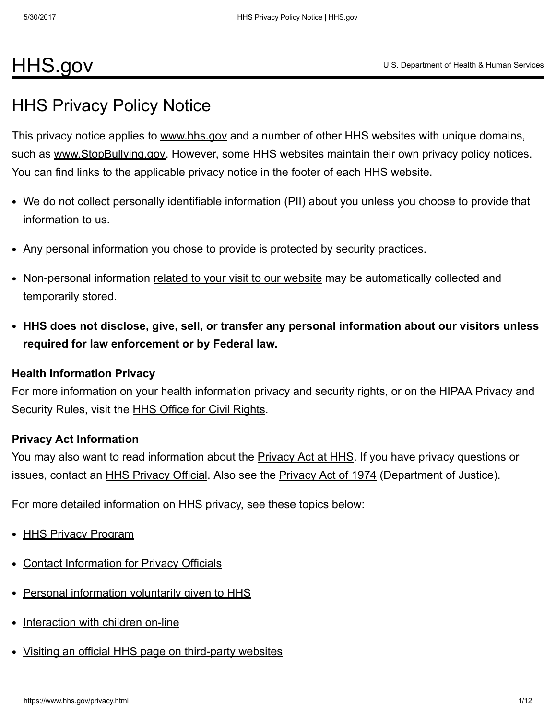# [HHS.gov](https://www.hhs.gov/)

# HHS Privacy Policy Notice

This privacy notice applies to [www.hhs.gov](https://www.hhs.gov/) and a number of other HHS websites with unique domains, such as [www.StopBullying.gov.](http://www.stopbullying.gov/) However, some HHS websites maintain their own privacy policy notices. You can find links to the applicable privacy notice in the footer of each HHS website.

- We do not collect personally identifiable information (PII) about you unless you choose to provide that information to us.
- Any personal information you chose to provide is protected by security practices.
- Non-personal information related to your visit to our [website](#page-8-0) may be automatically collected and temporarily stored.
- HHS does not disclose, give, sell, or transfer any personal information about our visitors unless required for law enforcement or by Federal law.

#### Health Information Privacy

For more information on your health information privacy and security rights, or on the HIPAA Privacy and Security Rules, visit the **HHS Office for Civil [Rights.](https://www.hhs.gov/ocr/privacy/index.html)** 

#### Privacy Act Information

You may also want to read information about the [Privacy](https://www.hhs.gov/foia/privacy/index.html) Act at HHS. If you have privacy questions or issues, contact an **HHS [Privacy](http://www.justice.gov/opcl/privacyact1974.htm) Official**. Also see the **Privacy Act of 1974** (Department of Justice).

For more detailed information on HHS privacy, see these topics below:

- **HHS Privacy [Program](#page-1-0)**
- Contact [Information](#page-2-0) for Privacy Officials
- Personal [information](#page-4-0) voluntarily given to HHS
- [Interaction](#page-5-0) with children on-line
- Visiting an official HHS page on third-party websites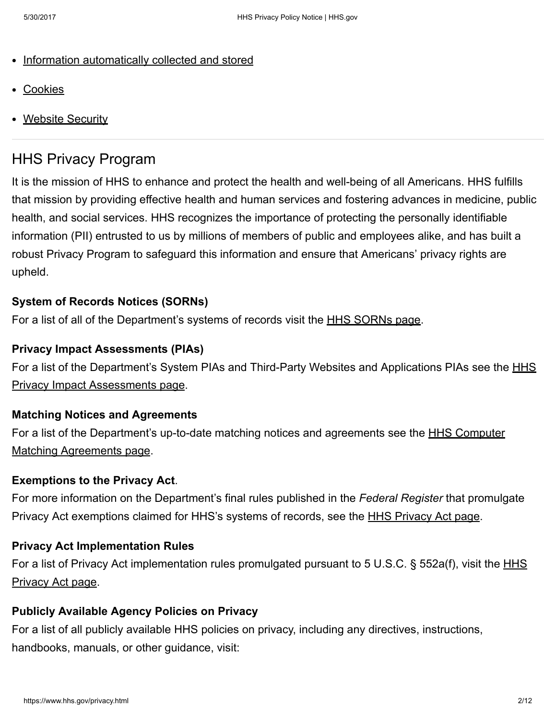- Information [automatically](#page-6-1) collected and stored
- **[Cookies](#page-9-0)**
- Website [Security](#page-10-0)

# <span id="page-1-0"></span>HHS Privacy Program

It is the mission of HHS to enhance and protect the health and well-being of all Americans. HHS fulfills that mission by providing effective health and human services and fostering advances in medicine, public health, and social services. HHS recognizes the importance of protecting the personally identifiable information (PII) entrusted to us by millions of members of public and employees alike, and has built a robust Privacy Program to safeguard this information and ensure that Americans' privacy rights are upheld.

#### System of Records Notices (SORNs)

For a list of all of the Department's systems of records visit the HHS [SORNs](https://www.hhs.gov/foia/privacy/sorns/index.html) page.

#### Privacy Impact Assessments (PIAs)

For a list of the Department's System PIAs and Third-Party Websites and Applications PIAs see the **HHS** Privacy Impact [Assessments](https://www.hhs.gov/pia/) page.

#### Matching Notices and Agreements

For a list of the [Department's](https://www.hhs.gov/foia/privacy/cmas/index.html) up-to-date matching notices and agreements see the HHS Computer Matching Agreements page.

#### Exemptions to the Privacy Act.

For more information on the Department's final rules published in the Federal Register that promulgate [Privacy](https://www.hhs.gov/foia/privacy/index.html) Act exemptions claimed for HHS's systems of records, see the <u>HHS Privacy Act page</u>.

#### Privacy Act Implementation Rules

For a list of Privacy Act [implementation](https://www.hhs.gov/foia/privacy/index.html) rules promulgated pursuant to 5 U.S.C. § 552a(f), visit the HHS Privacy Act page.

#### Publicly Available Agency Policies on Privacy

For a list of all publicly available HHS policies on privacy, including any directives, instructions, handbooks, manuals, or other guidance, visit: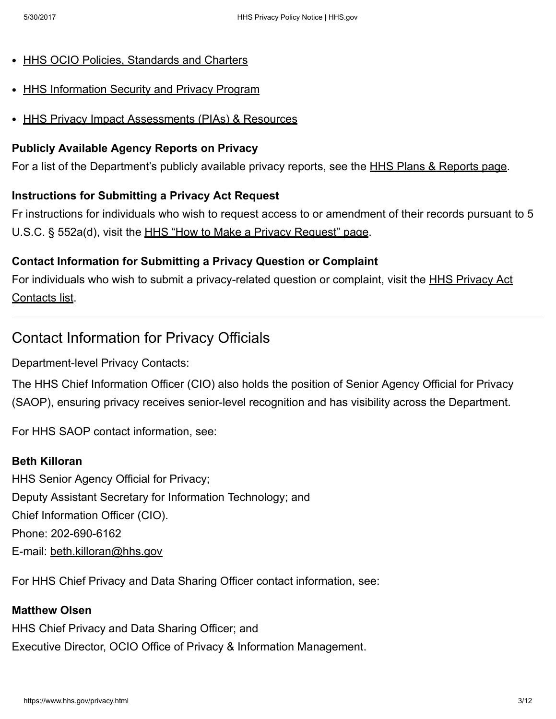- HHS OCIO Policies, [Standards](https://www.hhs.gov/ocio/policy/index.html) and Charters
- **HHS [Information](https://www.hhs.gov/ocio/securityprivacy/index.html) Security and Privacy Program**
- HHS Privacy Impact [Assessments](https://www.hhs.gov/ocio/securityprivacy/privacyresources/pias.html) (PIAs) & Resources

#### Publicly Available Agency Reports on Privacy

For a list of the Department's publicly available privacy reports, see the **HHS Plans & [Reports](https://www.hhs.gov/ocio/plans/index.html) page**.

#### Instructions for Submitting a Privacy Act Request

Fr instructions for individuals who wish to request access to or amendment of their records pursuant to 5 U.S.C. § 552a(d), visit the HHS "How to Make a Privacy [Request"](https://www.hhs.gov/foia/privacy/how-make-privacy-act-request.html) page.

#### Contact Information for Submitting a Privacy Question or Complaint

For individuals who wish to submit a privacy-related question or complaint, visit the **[HHS](https://www.hhs.gov/foia/contacts/index.html#privacy) Privacy Act** Contacts list.

### <span id="page-2-0"></span>Contact Information for Privacy Officials

Department-level Privacy Contacts:

The HHS Chief Information Officer (CIO) also holds the position of Senior Agency Official for Privacy (SAOP), ensuring privacy receives senior-level recognition and has visibility across the Department.

For HHS SAOP contact information, see:

#### Beth Killoran

HHS Senior Agency Official for Privacy; Deputy Assistant Secretary for Information Technology; and Chief Information Officer (CIO). Phone: 202-690-6162 E-mail: [beth.killoran@hhs.gov](mailto:beth.killoran@hhs.gov)

For HHS Chief Privacy and Data Sharing Officer contact information, see:

#### Matthew Olsen

HHS Chief Privacy and Data Sharing Officer; and Executive Director, OCIO Office of Privacy & Information Management.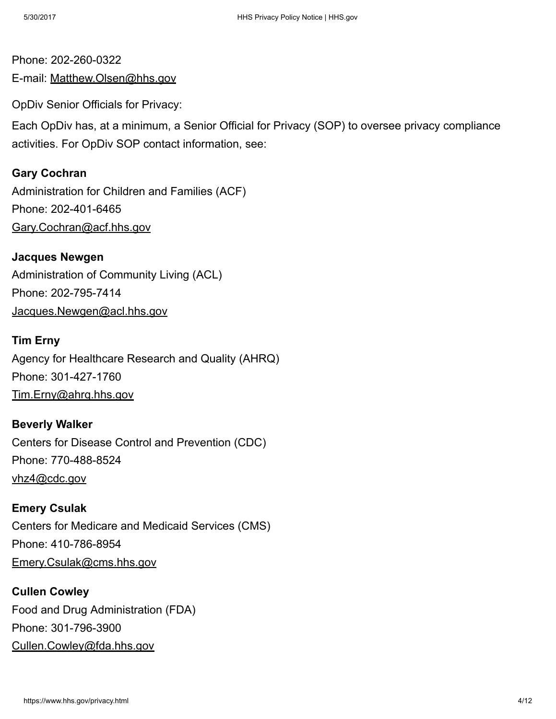### Phone: 202-260-0322 E-mail: [Matthew.Olsen@hhs.gov](mailto:Matthew.Olsen@hhs.gov)

OpDiv Senior Officials for Privacy:

Each OpDiv has, at a minimum, a Senior Official for Privacy (SOP) to oversee privacy compliance activities. For OpDiv SOP contact information, see:

#### Gary Cochran

Administration for Children and Families (ACF) Phone: 202-401-6465 [Gary.Cochran@acf.hhs.gov](mailto:Gary.Cochran@acf.hhs.gov)

#### Jacques Newgen

Administration of Community Living (ACL) Phone: 202-795-7414 [Jacques.Newgen@acl.hhs.gov](mailto:Jacques.Newgen@acl.hhs.gov)

#### Tim Erny

Agency for Healthcare Research and Quality (AHRQ) Phone: 301-427-1760 [Tim.Erny@ahrq.hhs.gov](mailto:Tim.Erny@ahrq.hhs.gov)

Beverly Walker Centers for Disease Control and Prevention (CDC) Phone: 770-488-8524 [vhz4@cdc.gov](mailto:vhz4@cdc.gov)

Emery Csulak Centers for Medicare and Medicaid Services (CMS) Phone: 410-786-8954 [Emery.Csulak@cms.hhs.gov](mailto:Emery.Csulak@cms.hhs.gov)

Cullen Cowley Food and Drug Administration (FDA) Phone: 301-796-3900 [Cullen.Cowley@fda.hhs.gov](mailto:Cullen.Cowley@fda.hhs.gov)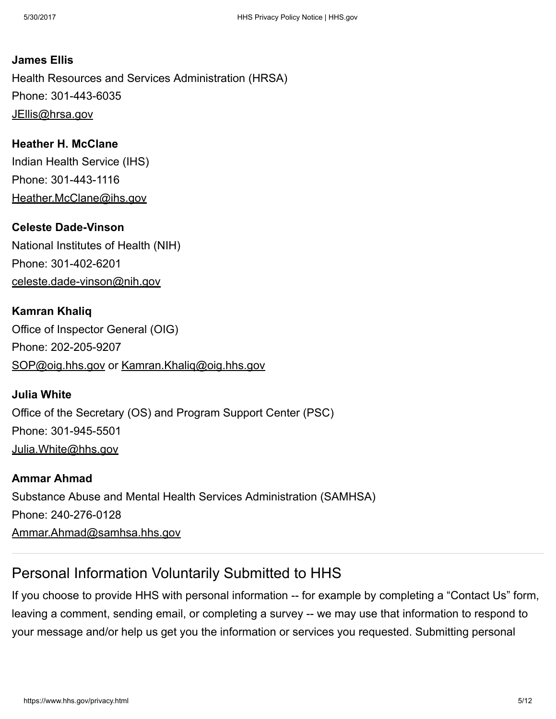James Ellis Health Resources and Services Administration (HRSA) Phone: 301-443-6035 [JEllis@hrsa.gov](mailto:JEllis@hrsa.gov)

Heather H. McClane Indian Health Service (IHS) Phone: 301-443-1116 [Heather.McClane@ihs.gov](mailto:Heather.McClane@ihs.gov)

**Celeste Dade-Vinson** National Institutes of Health (NIH) Phone: 301-402-6201 celeste.dade-vinson@nih.gov

Kamran Khaliq Office of Inspector General (OIG) Phone: 202-205-9207 [SOP@oig.hhs.gov](mailto:SOP@oig.hhs.gov) or [Kamran.Khaliq@oig.hhs.gov](mailto:Kamran.Khaliq@oig.hhs.gov)

Julia White Office of the Secretary (OS) and Program Support Center (PSC) Phone: 301-945-5501 [Julia.White@hhs.gov](mailto:Julia.White@hhs.gov)

Ammar Ahmad Substance Abuse and Mental Health Services Administration (SAMHSA) Phone: 240-276-0128 [Ammar.Ahmad@samhsa.hhs.gov](mailto:Ammar.Ahmad@samhsa.hhs.gov)

# <span id="page-4-0"></span>Personal Information Voluntarily Submitted to HHS

If you choose to provide HHS with personal information -- for example by completing a "Contact Us" form, leaving a comment, sending email, or completing a survey -- we may use that information to respond to your message and/or help us get you the information or services you requested. Submitting personal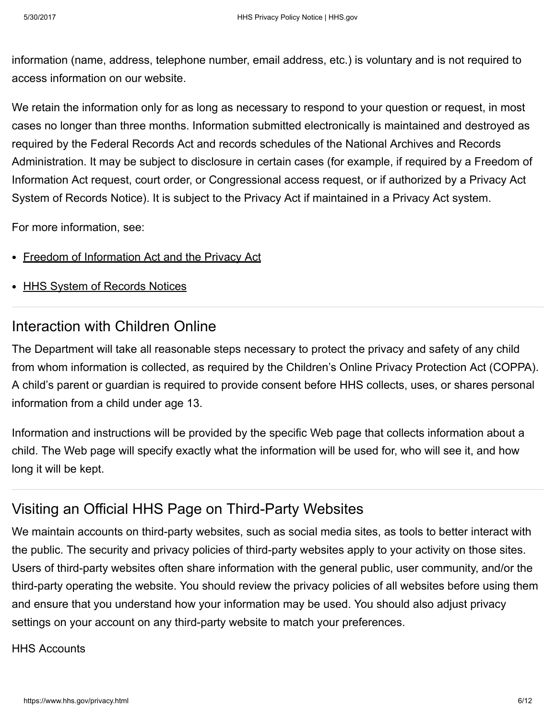information (name, address, telephone number, email address, etc.) is voluntary and is not required to access information on our website.

We retain the information only for as long as necessary to respond to your question or request, in most cases no longer than three months. Information submitted electronically is maintained and destroyed as required by the Federal Records Act and records schedules of the National Archives and Records Administration. It may be subject to disclosure in certain cases (for example, if required by a Freedom of Information Act request, court order, or Congressional access request, or if authorized by a Privacy Act System of Records Notice). It is subject to the Privacy Act if maintained in a Privacy Act system.

For more information, see:

- Freedom of [Information](http://www.usa.gov/Topics/Reference-Shelf/FOIA.shtml) Act and the Privacy Act
- HHS System of [Records](https://www.hhs.gov/foia/privacy/sorns.html) Notices

### <span id="page-5-0"></span>Interaction with Children Online

The Department will take all reasonable steps necessary to protect the privacy and safety of any child from whom information is collected, as required by the Children's Online Privacy Protection Act (COPPA). A child's parent or guardian is required to provide consent before HHS collects, uses, or shares personal information from a child under age 13.

Information and instructions will be provided by the specific Web page that collects information about a child. The Web page will specify exactly what the information will be used for, who will see it, and how long it will be kept.

# Visiting an Official HHS Page on Third-Party Websites

We maintain accounts on third-party websites, such as social media sites, as tools to better interact with the public. The security and privacy policies of third-party websites apply to your activity on those sites. Users of third-party websites often share information with the general public, user community, and/or the third-party operating the website. You should review the privacy policies of all websites before using them and ensure that you understand how your information may be used. You should also adjust privacy settings on your account on any third-party website to match your preferences.

HHS Accounts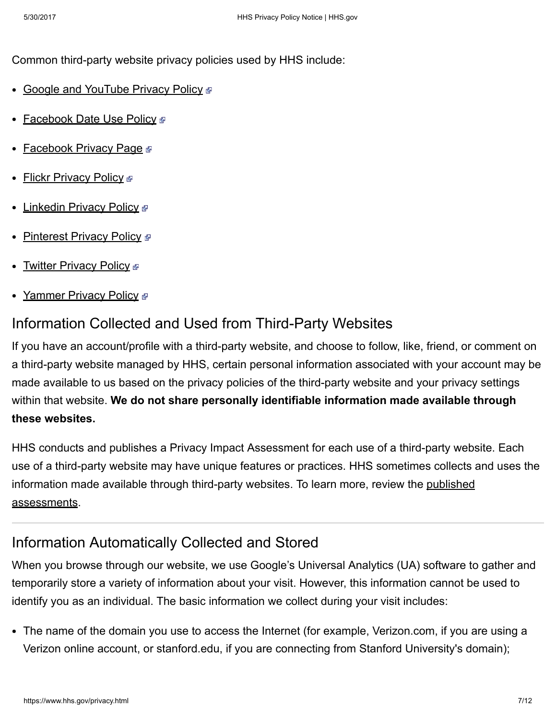Common third-party website privacy policies used by HHS include:

- Google and [YouTube](https://www.google.com/intl/en/policies/privacy/) Privacy Policy ®
- [Facebook](https://www.facebook.com/about/privacy/) Date Use Policy P
- [Facebook](https://www.facebook.com/fbprivacy) Privacy Page ®
- **Flickr [Privacy](https://info.yahoo.com/privacy/us/yahoo/flickr/details.html) Policy**
- [Linkedin](http://www.linkedin.com/legal/privacy-policy) Privacy Policy
- [Pinterest](http://about.pinterest.com/en/terms-service) Privacy Policy ®
- <u>Twitter [Privacy](https://twitter.com/privacy) Policy ☞</u>
- [Yammer](https://about.yammer.com/privacy/) Privacy Policy ®

### <span id="page-6-0"></span>Information Collected and Used from Third-Party Websites

If you have an account/profile with a third-party website, and choose to follow, like, friend, or comment on a third-party website managed by HHS, certain personal information associated with your account may be made available to us based on the privacy policies of the third-party website and your privacy settings within that website. We do not share personally identifiable information made available through these websites.

HHS conducts and publishes a Privacy Impact Assessment for each use of a third-party website. Each use of a third-party website may have unique features or practices. HHS sometimes collects and uses the information made available through third-party websites. To learn more, review the published [assessments.](https://www.hhs.gov/pia/)

### <span id="page-6-1"></span>Information Automatically Collected and Stored

When you browse through our website, we use Google's Universal Analytics (UA) software to gather and temporarily store a variety of information about your visit. However, this information cannot be used to identify you as an individual. The basic information we collect during your visit includes:

The name of the domain you use to access the Internet (for example, Verizon.com, if you are using a Verizon online account, or stanford.edu, if you are connecting from Stanford University's domain);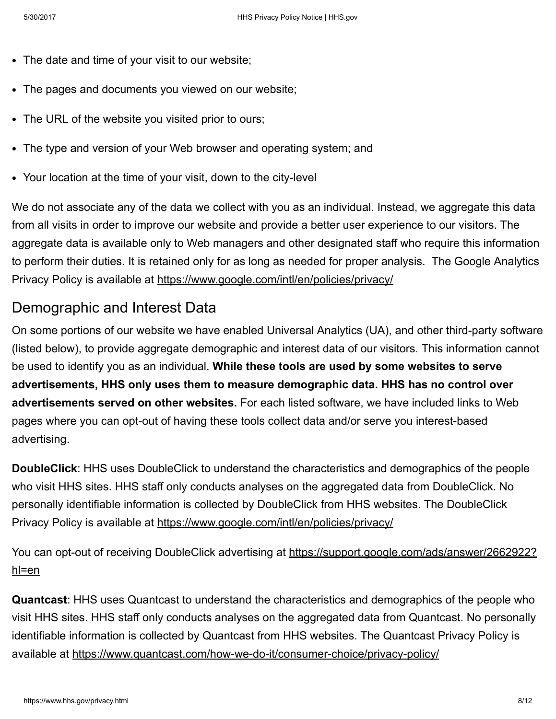- The date and time of your visit to our website;  $\bullet$
- The pages and documents you viewed on our website;
- The URL of the website you visited prior to ours;
- The type and version of your Web browser and operating system; and
- Your location at the time of your visit, down to the city-level

We do not associate any of the data we collect with you as an individual. Instead, we aggregate this data from all visits in order to improve our website and provide a better user experience to our visitors. The aggregate data is available only to Web managers and other designated staff who require this information to perform their duties. It is retained only for as long as needed for proper analysis. The Google Analytics Privacy Policy is available at <https://www.google.com/intl/en/policies/privacy/>

### Demographic and Interest Data

On some portions of our website we have enabled Universal Analytics (UA), and other third-party software (listed below), to provide aggregate demographic and interest data of our visitors. This information cannot be used to identify you as an individual. While these tools are used by some websites to serve advertisements, HHS only uses them to measure demographic data. HHS has no control over advertisements served on other websites. For each listed software, we have included links to Web pages where you can opt-out of having these tools collect data and/or serve you interest-based advertising.

DoubleClick: HHS uses DoubleClick to understand the characteristics and demographics of the people who visit HHS sites. HHS staff only conducts analyses on the aggregated data from DoubleClick. No personally identifiable information is collected by DoubleClick from HHS websites. The DoubleClick Privacy Policy is available at <https://www.google.com/intl/en/policies/privacy/>

You can opt-out of receiving DoubleClick advertising at [https://support.google.com/ads/answer/2662922?](https://support.google.com/ads/answer/2662922?hl=en) hl=en

Quantcast: HHS uses Quantcast to understand the characteristics and demographics of the people who visit HHS sites. HHS staff only conducts analyses on the aggregated data from Quantcast. No personally identifiable information is collected by Quantcast from HHS websites. The Quantcast Privacy Policy is available at https://www.quantcast.com/how-we-do-it/consumer-choice/privacy-policy/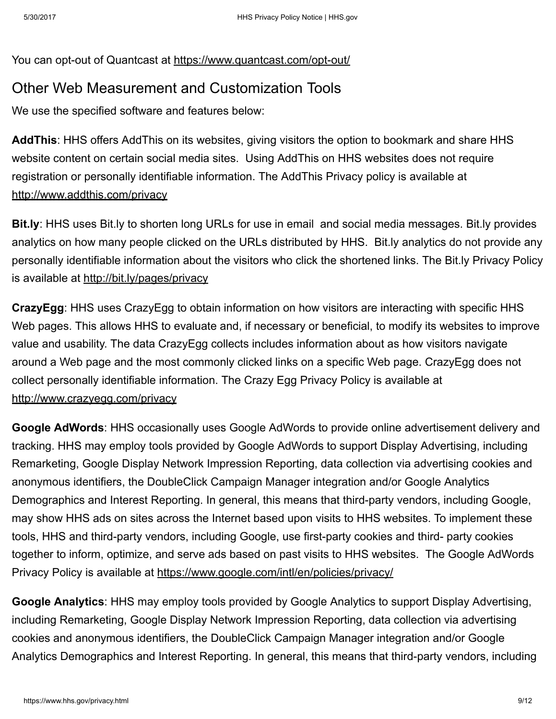You can opt-out of Quantcast at https://www.quantcast.com/opt-out/

### <span id="page-8-0"></span>Other Web Measurement and Customization Tools

We use the specified software and features below:

AddThis: HHS offers AddThis on its websites, giving visitors the option to bookmark and share HHS website content on certain social media sites. Using AddThis on HHS websites does not require registration or personally identifiable information. The AddThis Privacy policy is available at <http://www.addthis.com/privacy>

Bit.ly: HHS uses Bit.ly to shorten long URLs for use in email and social media messages. Bit.ly provides analytics on how many people clicked on the URLs distributed by HHS. Bit.ly analytics do not provide any personally identifiable information about the visitors who click the shortened links. The Bit.ly Privacy Policy is available at <http://bit.ly/pages/privacy>

CrazyEgg: HHS uses CrazyEgg to obtain information on how visitors are interacting with specific HHS Web pages. This allows HHS to evaluate and, if necessary or beneficial, to modify its websites to improve value and usability. The data CrazyEgg collects includes information about as how visitors navigate around a Web page and the most commonly clicked links on a specific Web page. CrazyEgg does not collect personally identifiable information. The Crazy Egg Privacy Policy is available at <http://www.crazyegg.com/privacy>

Google AdWords: HHS occasionally uses Google AdWords to provide online advertisement delivery and tracking. HHS may employ tools provided by Google AdWords to support Display Advertising, including Remarketing, Google Display Network Impression Reporting, data collection via advertising cookies and anonymous identifiers, the DoubleClick Campaign Manager integration and/or Google Analytics Demographics and Interest Reporting. In general, this means that third-party vendors, including Google, may show HHS ads on sites across the Internet based upon visits to HHS websites. To implement these tools, HHS and third-party vendors, including Google, use first-party cookies and third- party cookies together to inform, optimize, and serve ads based on past visits to HHS websites. The Google AdWords Privacy Policy is available at <https://www.google.com/intl/en/policies/privacy/>

Google Analytics: HHS may employ tools provided by Google Analytics to support Display Advertising, including Remarketing, Google Display Network Impression Reporting, data collection via advertising cookies and anonymous identifiers, the DoubleClick Campaign Manager integration and/or Google Analytics Demographics and Interest Reporting. In general, this means that third-party vendors, including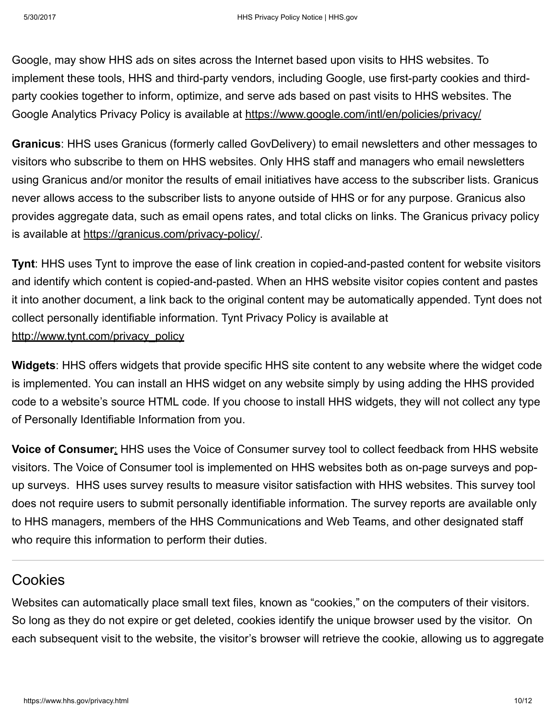Google, may show HHS ads on sites across the Internet based upon visits to HHS websites. To implement these tools, HHS and third-party vendors, including Google, use first-party cookies and thirdparty cookies together to inform, optimize, and serve ads based on past visits to HHS websites. The Google Analytics Privacy Policy is available at <https://www.google.com/intl/en/policies/privacy/>

Granicus: HHS uses Granicus (formerly called GovDelivery) to email newsletters and other messages to visitors who subscribe to them on HHS websites. Only HHS staff and managers who email newsletters using Granicus and/or monitor the results of email initiatives have access to the subscriber lists. Granicus never allows access to the subscriber lists to anyone outside of HHS or for any purpose. Granicus also provides aggregate data, such as email opens rates, and total clicks on links. The Granicus privacy policy is available at https://granicus.com/privacy-policy/.

**Tynt:** HHS uses Tynt to improve the ease of link creation in copied-and-pasted content for website visitors and identify which content is copied-and-pasted. When an HHS website visitor copies content and pastes it into another document, a link back to the original content may be automatically appended. Tynt does not collect personally identifiable information. Tynt Privacy Policy is available at [http://www.tynt.com/privacy\\_policy](http://www.tynt.com/privacy_policy)

Widgets: HHS offers widgets that provide specific HHS site content to any website where the widget code is implemented. You can install an HHS widget on any website simply by using adding the HHS provided code to a website's source HTML code. If you choose to install HHS widgets, they will not collect any type of Personally Identifiable Information from you.

**Voice of Consumer:** HHS uses the Voice of Consumer survey tool to collect feedback from HHS website visitors. The Voice of Consumer tool is implemented on HHS websites both as on-page surveys and popup surveys. HHS uses survey results to measure visitor satisfaction with HHS websites. This survey tool does not require users to submit personally identifiable information. The survey reports are available only to HHS managers, members of the HHS Communications and Web Teams, and other designated staff who require this information to perform their duties.

### <span id="page-9-0"></span>Cookies

Websites can automatically place small text files, known as "cookies," on the computers of their visitors. So long as they do not expire or get deleted, cookies identify the unique browser used by the visitor. On each subsequent visit to the website, the visitor's browser will retrieve the cookie, allowing us to aggregate